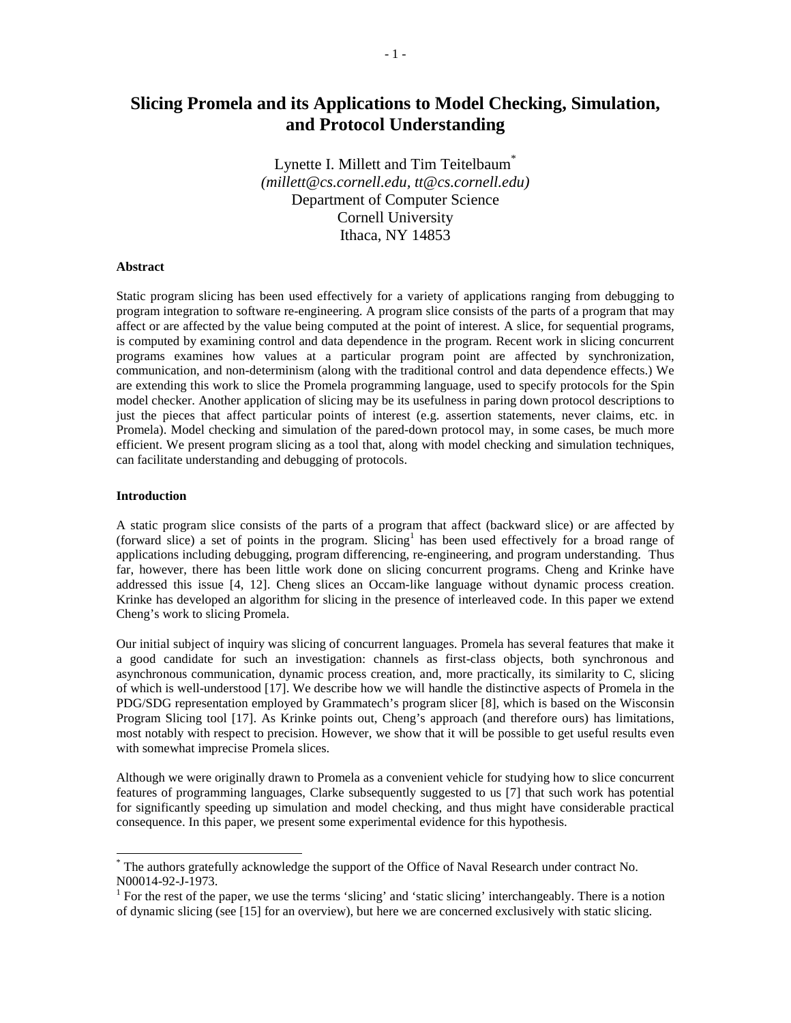# **Slicing Promela and its Applications to Model Checking, Simulation, and Protocol Understanding**

Lynette I. Millett and Tim Teitelbaum<sup>\*</sup> *(millett@cs.cornell.edu, tt@cs.cornell.edu)* Department of Computer Science Cornell University Ithaca, NY 14853

#### **Abstract**

Static program slicing has been used effectively for a variety of applications ranging from debugging to program integration to software re-engineering. A program slice consists of the parts of a program that may affect or are affected by the value being computed at the point of interest. A slice, for sequential programs, is computed by examining control and data dependence in the program. Recent work in slicing concurrent programs examines how values at a particular program point are affected by synchronization, communication, and non-determinism (along with the traditional control and data dependence effects.) We are extending this work to slice the Promela programming language, used to specify protocols for the Spin model checker. Another application of slicing may be its usefulness in paring down protocol descriptions to just the pieces that affect particular points of interest (e.g. assertion statements, never claims, etc. in Promela). Model checking and simulation of the pared-down protocol may, in some cases, be much more efficient. We present program slicing as a tool that, along with model checking and simulation techniques, can facilitate understanding and debugging of protocols.

## **Introduction**

 $\overline{a}$ 

A static program slice consists of the parts of a program that affect (backward slice) or are affected by (forward slice) a set of points in the program. Slicing<sup>1</sup> has been used effectively for a broad range of applications including debugging, program differencing, re-engineering, and program understanding. Thus far, however, there has been little work done on slicing concurrent programs. Cheng and Krinke have addressed this issue [4, 12]. Cheng slices an Occam-like language without dynamic process creation. Krinke has developed an algorithm for slicing in the presence of interleaved code. In this paper we extend Cheng's work to slicing Promela.

Our initial subject of inquiry was slicing of concurrent languages. Promela has several features that make it a good candidate for such an investigation: channels as first-class objects, both synchronous and asynchronous communication, dynamic process creation, and, more practically, its similarity to C, slicing of which is well-understood [17]. We describe how we will handle the distinctive aspects of Promela in the PDG/SDG representation employed by Grammatech's program slicer [8], which is based on the Wisconsin Program Slicing tool [17]. As Krinke points out, Cheng's approach (and therefore ours) has limitations, most notably with respect to precision. However, we show that it will be possible to get useful results even with somewhat imprecise Promela slices.

Although we were originally drawn to Promela as a convenient vehicle for studying how to slice concurrent features of programming languages, Clarke subsequently suggested to us [7] that such work has potential for significantly speeding up simulation and model checking, and thus might have considerable practical consequence. In this paper, we present some experimental evidence for this hypothesis.

<sup>\*</sup> The authors gratefully acknowledge the support of the Office of Naval Research under contract No. N00014-92-J-1973.

<sup>&</sup>lt;sup>1</sup> For the rest of the paper, we use the terms 'slicing' and 'static slicing' interchangeably. There is a notion of dynamic slicing (see [15] for an overview), but here we are concerned exclusively with static slicing.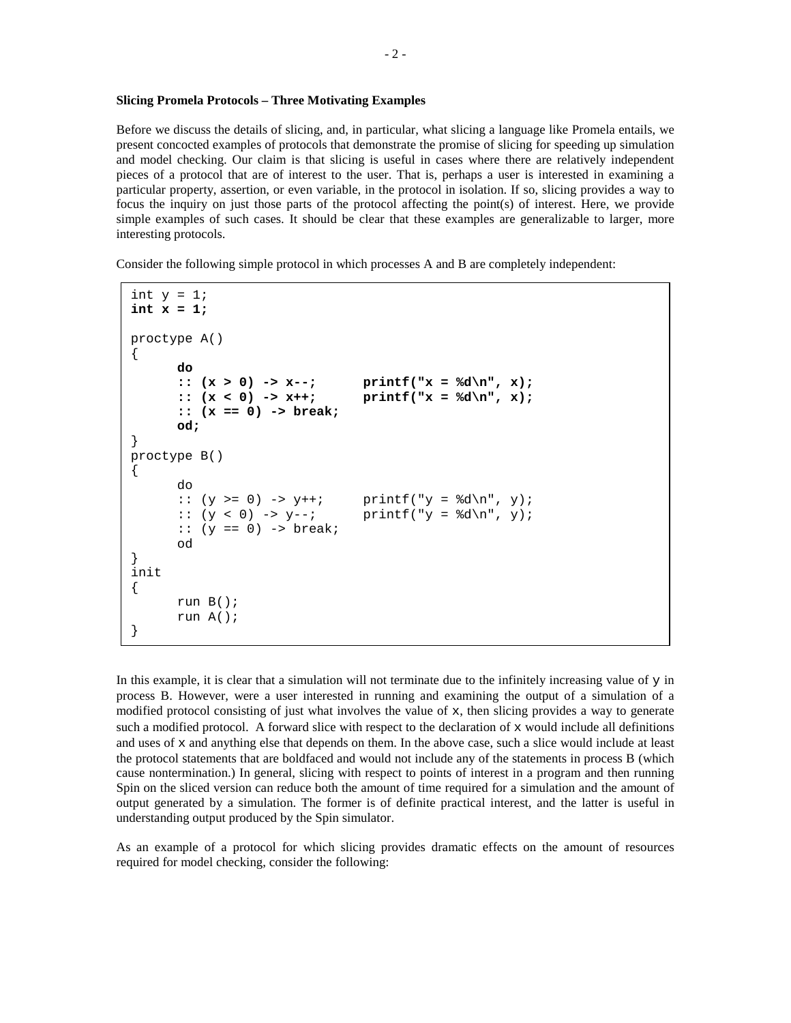## **Slicing Promela Protocols – Three Motivating Examples**

Before we discuss the details of slicing, and, in particular, what slicing a language like Promela entails, we present concocted examples of protocols that demonstrate the promise of slicing for speeding up simulation and model checking. Our claim is that slicing is useful in cases where there are relatively independent pieces of a protocol that are of interest to the user. That is, perhaps a user is interested in examining a particular property, assertion, or even variable, in the protocol in isolation. If so, slicing provides a way to focus the inquiry on just those parts of the protocol affecting the point(s) of interest. Here, we provide simple examples of such cases. It should be clear that these examples are generalizable to larger, more interesting protocols.

Consider the following simple protocol in which processes A and B are completely independent:

```
int y = 1;
int x = 1;
proctype A()
{
       do
       :: (x > 0) \rightarrow x--; printf("x = d\n\times y;
       :: (x < 0) \rightarrow x++; printf("x = %d\n", x);
       :: (x == 0) -> break;
       od;
}
proctype B()
{
       do
       :: (y \ge 0) \Rightarrow y++; printf("y = d\n\alpha", y);
       :: (y < 0) \rightarrow y--; printf("y = \frac{d}{dx}[n'', y];:: (y == 0) -> break;od
}
init
{
       run B();
       run A();
}
```
In this example, it is clear that a simulation will not terminate due to the infinitely increasing value of  $y$  in process B. However, were a user interested in running and examining the output of a simulation of a modified protocol consisting of just what involves the value of  $x$ , then slicing provides a way to generate such a modified protocol. A forward slice with respect to the declaration of  $x$  would include all definitions and uses of x and anything else that depends on them. In the above case, such a slice would include at least the protocol statements that are boldfaced and would not include any of the statements in process B (which cause nontermination.) In general, slicing with respect to points of interest in a program and then running Spin on the sliced version can reduce both the amount of time required for a simulation and the amount of output generated by a simulation. The former is of definite practical interest, and the latter is useful in understanding output produced by the Spin simulator.

As an example of a protocol for which slicing provides dramatic effects on the amount of resources required for model checking, consider the following: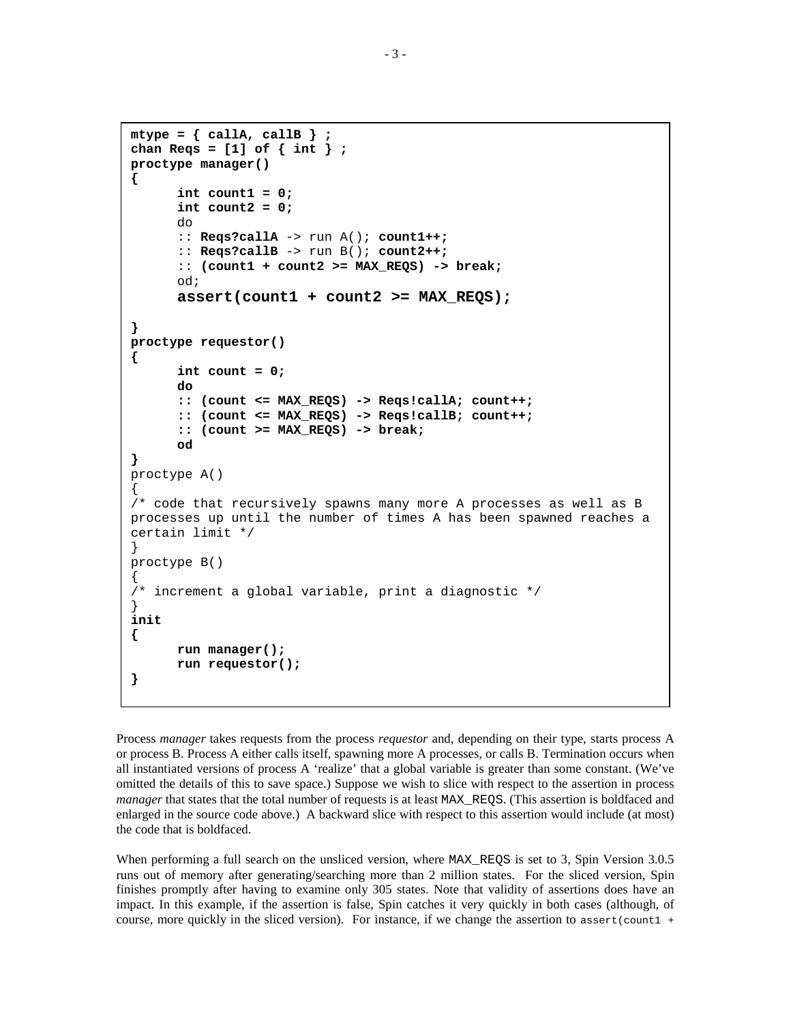```
mtype = { callA, callB } ;
chan Reqs = [1] of { int } ;
proctype manager()
{
      int count1 = 0;
      int count2 = 0;
      do
      :: Reqs?callA -> run A(); count1++;
      :: Reqs?callB -> run B(); count2++;
      :: (count1 + count2 >= MAX_REQS) -> break;
      od;
      assert(count1 + count2 >= MAX_REQS);
}
proctype requestor()
{
      int count = 0;
      do
      :: (count <= MAX_REQS) -> Reqs!callA; count++;
      :: (count <= MAX_REQS) -> Reqs!callB; count++;
      :: (count >= MAX_REQS) -> break;
      od
}
proctype A()
{
/* code that recursively spawns many more A processes as well as B
processes up until the number of times A has been spawned reaches a
certain limit */
}
proctype B()
{
/* increment a global variable, print a diagnostic */
}
init
{
      run manager();
      run requestor();
}
```
Process *manager* takes requests from the process *requestor* and, depending on their type, starts process A or process B. Process A either calls itself, spawning more A processes, or calls B. Termination occurs when all instantiated versions of process A 'realize' that a global variable is greater than some constant. (We've omitted the details of this to save space.) Suppose we wish to slice with respect to the assertion in process *manager* that states that the total number of requests is at least MAX\_REQS. (This assertion is boldfaced and enlarged in the source code above.) A backward slice with respect to this assertion would include (at most) the code that is boldfaced.

When performing a full search on the unsliced version, where  $MAX\_REQS$  is set to 3, Spin Version 3.0.5 runs out of memory after generating/searching more than 2 million states. For the sliced version, Spin finishes promptly after having to examine only 305 states. Note that validity of assertions does have an impact. In this example, if the assertion is false, Spin catches it very quickly in both cases (although, of course, more quickly in the sliced version). For instance, if we change the assertion to assert (count1 +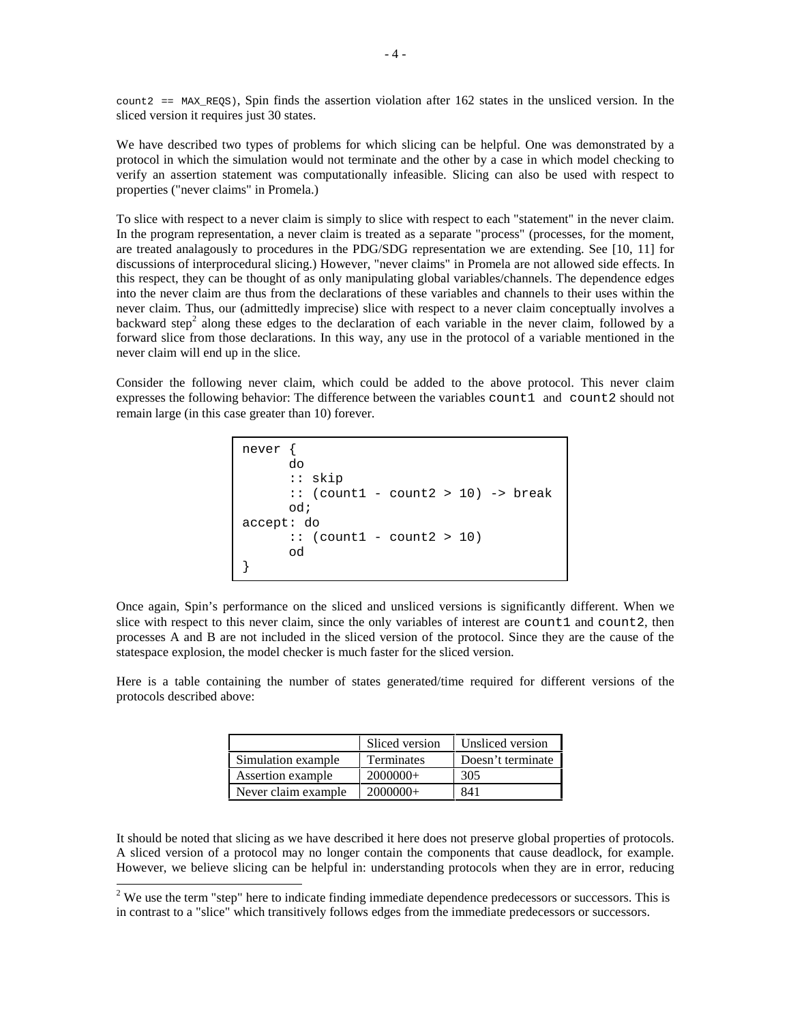count2 == MAX\_REQS), Spin finds the assertion violation after 162 states in the unsliced version. In the sliced version it requires just 30 states.

We have described two types of problems for which slicing can be helpful. One was demonstrated by a protocol in which the simulation would not terminate and the other by a case in which model checking to verify an assertion statement was computationally infeasible. Slicing can also be used with respect to properties ("never claims" in Promela.)

To slice with respect to a never claim is simply to slice with respect to each "statement" in the never claim. In the program representation, a never claim is treated as a separate "process" (processes, for the moment, are treated analagously to procedures in the PDG/SDG representation we are extending. See [10, 11] for discussions of interprocedural slicing.) However, "never claims" in Promela are not allowed side effects. In this respect, they can be thought of as only manipulating global variables/channels. The dependence edges into the never claim are thus from the declarations of these variables and channels to their uses within the never claim. Thus, our (admittedly imprecise) slice with respect to a never claim conceptually involves a backward step<sup>2</sup> along these edges to the declaration of each variable in the never claim, followed by a forward slice from those declarations. In this way, any use in the protocol of a variable mentioned in the never claim will end up in the slice.

Consider the following never claim, which could be added to the above protocol. This never claim expresses the following behavior: The difference between the variables count1 and count2 should not remain large (in this case greater than 10) forever.

```
never {
      do
      :: skip
     :: (count1 - count2 > 10) -> breakod;
accept: do
      :: (count1 - count2 > 10)od
}
```
Once again, Spin's performance on the sliced and unsliced versions is significantly different. When we slice with respect to this never claim, since the only variables of interest are count1 and count2, then processes A and B are not included in the sliced version of the protocol. Since they are the cause of the statespace explosion, the model checker is much faster for the sliced version.

Here is a table containing the number of states generated/time required for different versions of the protocols described above:

|                     | Sliced version    | Unsliced version  |
|---------------------|-------------------|-------------------|
| Simulation example  | <b>Terminates</b> | Doesn't terminate |
| Assertion example   | $2000000+$        | 305               |
| Never claim example | $2000000+$        | 841               |

It should be noted that slicing as we have described it here does not preserve global properties of protocols. A sliced version of a protocol may no longer contain the components that cause deadlock, for example. However, we believe slicing can be helpful in: understanding protocols when they are in error, reducing

 $\overline{a}$ 

 $2$  We use the term "step" here to indicate finding immediate dependence predecessors or successors. This is in contrast to a "slice" which transitively follows edges from the immediate predecessors or successors.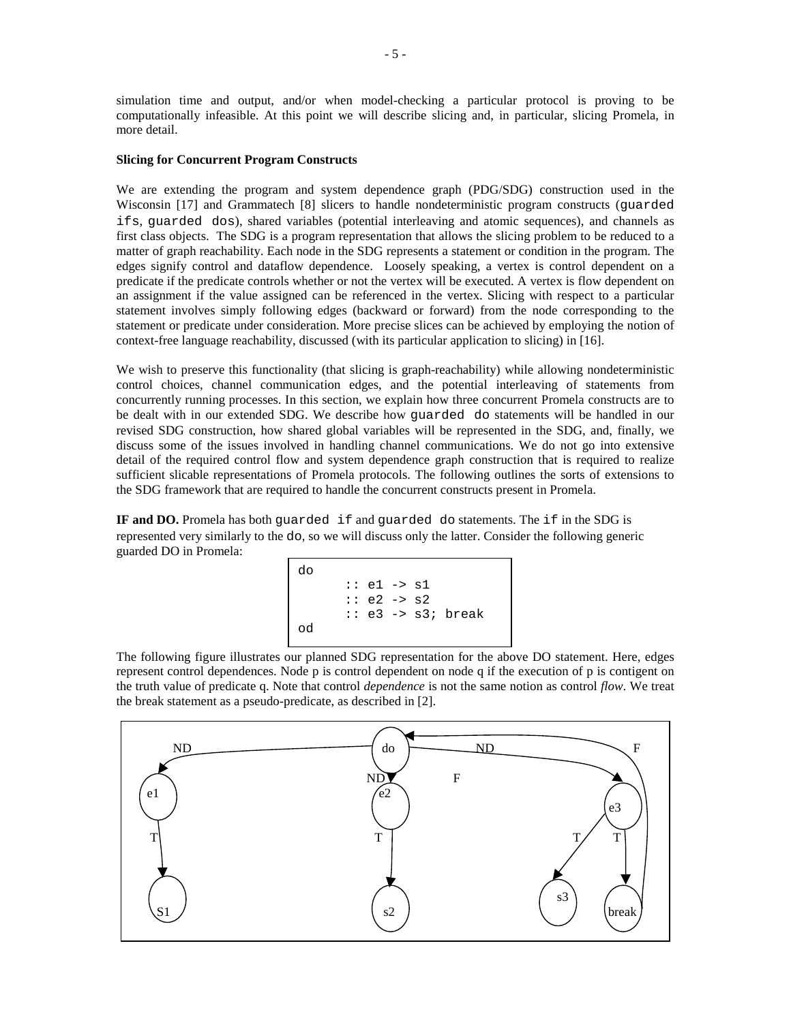simulation time and output, and/or when model-checking a particular protocol is proving to be computationally infeasible. At this point we will describe slicing and, in particular, slicing Promela, in more detail.

## **Slicing for Concurrent Program Constructs**

We are extending the program and system dependence graph (PDG/SDG) construction used in the Wisconsin [17] and Grammatech [8] slicers to handle nondeterministic program constructs (guarded ifs, guarded dos), shared variables (potential interleaving and atomic sequences), and channels as first class objects. The SDG is a program representation that allows the slicing problem to be reduced to a matter of graph reachability. Each node in the SDG represents a statement or condition in the program. The edges signify control and dataflow dependence. Loosely speaking, a vertex is control dependent on a predicate if the predicate controls whether or not the vertex will be executed. A vertex is flow dependent on an assignment if the value assigned can be referenced in the vertex. Slicing with respect to a particular statement involves simply following edges (backward or forward) from the node corresponding to the statement or predicate under consideration. More precise slices can be achieved by employing the notion of context-free language reachability, discussed (with its particular application to slicing) in [16].

We wish to preserve this functionality (that slicing is graph-reachability) while allowing nondeterministic control choices, channel communication edges, and the potential interleaving of statements from concurrently running processes. In this section, we explain how three concurrent Promela constructs are to be dealt with in our extended SDG. We describe how guarded do statements will be handled in our revised SDG construction, how shared global variables will be represented in the SDG, and, finally, we discuss some of the issues involved in handling channel communications. We do not go into extensive detail of the required control flow and system dependence graph construction that is required to realize sufficient slicable representations of Promela protocols. The following outlines the sorts of extensions to the SDG framework that are required to handle the concurrent constructs present in Promela.

**IF and DO.** Promela has both quarded if and quarded do statements. The if in the SDG is represented very similarly to the do, so we will discuss only the latter. Consider the following generic guarded DO in Promela:

```
do
       :: e1 -> s1
       :: e2 -> s2
       : e3 \rightarrow s3; breakod
```
The following figure illustrates our planned SDG representation for the above DO statement. Here, edges represent control dependences. Node p is control dependent on node q if the execution of p is contigent on the truth value of predicate q. Note that control *dependence* is not the same notion as control *flow*. We treat the break statement as a pseudo-predicate, as described in [2].

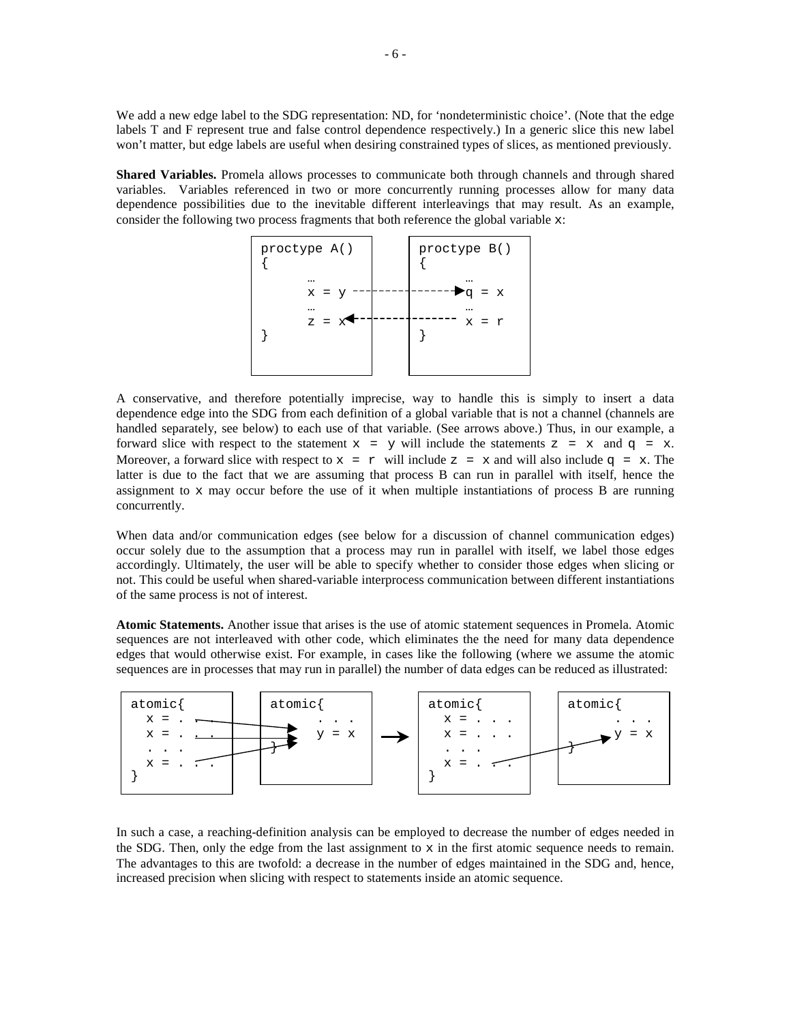We add a new edge label to the SDG representation: ND, for 'nondeterministic choice'. (Note that the edge labels T and F represent true and false control dependence respectively.) In a generic slice this new label won't matter, but edge labels are useful when desiring constrained types of slices, as mentioned previously.

**Shared Variables.** Promela allows processes to communicate both through channels and through shared variables. Variables referenced in two or more concurrently running processes allow for many data dependence possibilities due to the inevitable different interleavings that may result. As an example, consider the following two process fragments that both reference the global variable x:



A conservative, and therefore potentially imprecise, way to handle this is simply to insert a data dependence edge into the SDG from each definition of a global variable that is not a channel (channels are handled separately, see below) to each use of that variable. (See arrows above.) Thus, in our example, a forward slice with respect to the statement  $x = y$  will include the statements  $z = x$  and  $q = x$ . Moreover, a forward slice with respect to  $x = r$  will include  $z = x$  and will also include  $q = x$ . The latter is due to the fact that we are assuming that process B can run in parallel with itself, hence the assignment to  $x$  may occur before the use of it when multiple instantiations of process B are running concurrently.

When data and/or communication edges (see below for a discussion of channel communication edges) occur solely due to the assumption that a process may run in parallel with itself, we label those edges accordingly. Ultimately, the user will be able to specify whether to consider those edges when slicing or not. This could be useful when shared-variable interprocess communication between different instantiations of the same process is not of interest.

**Atomic Statements.** Another issue that arises is the use of atomic statement sequences in Promela. Atomic sequences are not interleaved with other code, which eliminates the the need for many data dependence edges that would otherwise exist. For example, in cases like the following (where we assume the atomic sequences are in processes that may run in parallel) the number of data edges can be reduced as illustrated:



In such a case, a reaching-definition analysis can be employed to decrease the number of edges needed in the SDG. Then, only the edge from the last assignment to  $x$  in the first atomic sequence needs to remain. The advantages to this are twofold: a decrease in the number of edges maintained in the SDG and, hence, increased precision when slicing with respect to statements inside an atomic sequence.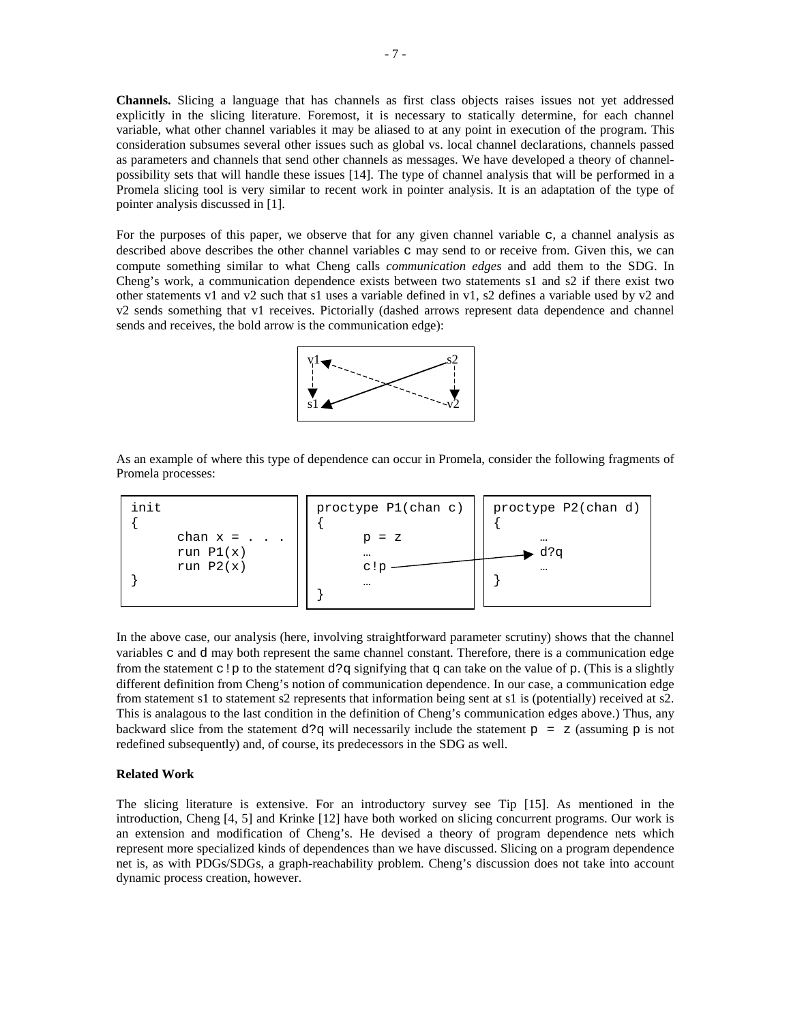**Channels.** Slicing a language that has channels as first class objects raises issues not yet addressed explicitly in the slicing literature. Foremost, it is necessary to statically determine, for each channel variable, what other channel variables it may be aliased to at any point in execution of the program. This consideration subsumes several other issues such as global vs. local channel declarations, channels passed as parameters and channels that send other channels as messages. We have developed a theory of channelpossibility sets that will handle these issues [14]. The type of channel analysis that will be performed in a Promela slicing tool is very similar to recent work in pointer analysis. It is an adaptation of the type of pointer analysis discussed in [1].

For the purposes of this paper, we observe that for any given channel variable c, a channel analysis as described above describes the other channel variables c may send to or receive from. Given this, we can compute something similar to what Cheng calls *communication edges* and add them to the SDG. In Cheng's work, a communication dependence exists between two statements s1 and s2 if there exist two other statements v1 and v2 such that s1 uses a variable defined in v1, s2 defines a variable used by v2 and v2 sends something that v1 receives. Pictorially (dashed arrows represent data dependence and channel sends and receives, the bold arrow is the communication edge):



As an example of where this type of dependence can occur in Promela, consider the following fragments of Promela processes:



In the above case, our analysis (here, involving straightforward parameter scrutiny) shows that the channel variables c and d may both represent the same channel constant. Therefore, there is a communication edge from the statement c!p to the statement d?q signifying that q can take on the value of p. (This is a slightly different definition from Cheng's notion of communication dependence. In our case, a communication edge from statement s1 to statement s2 represents that information being sent at s1 is (potentially) received at s2. This is analagous to the last condition in the definition of Cheng's communication edges above.) Thus, any backward slice from the statement  $d$ ?q will necessarily include the statement  $p = z$  (assuming p is not redefined subsequently) and, of course, its predecessors in the SDG as well.

## **Related Work**

The slicing literature is extensive. For an introductory survey see Tip [15]. As mentioned in the introduction, Cheng [4, 5] and Krinke [12] have both worked on slicing concurrent programs. Our work is an extension and modification of Cheng's. He devised a theory of program dependence nets which represent more specialized kinds of dependences than we have discussed. Slicing on a program dependence net is, as with PDGs/SDGs, a graph-reachability problem. Cheng's discussion does not take into account dynamic process creation, however.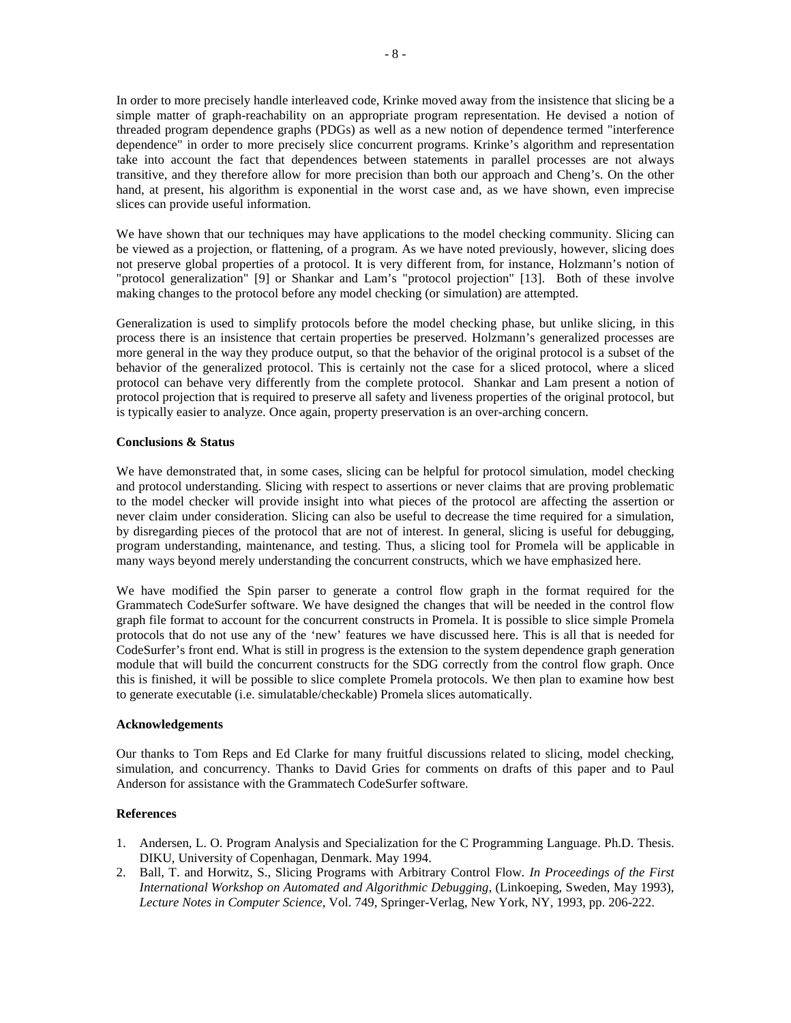In order to more precisely handle interleaved code, Krinke moved away from the insistence that slicing be a simple matter of graph-reachability on an appropriate program representation. He devised a notion of threaded program dependence graphs (PDGs) as well as a new notion of dependence termed "interference dependence" in order to more precisely slice concurrent programs. Krinke's algorithm and representation take into account the fact that dependences between statements in parallel processes are not always transitive, and they therefore allow for more precision than both our approach and Cheng's. On the other hand, at present, his algorithm is exponential in the worst case and, as we have shown, even imprecise slices can provide useful information.

We have shown that our techniques may have applications to the model checking community. Slicing can be viewed as a projection, or flattening, of a program. As we have noted previously, however, slicing does not preserve global properties of a protocol. It is very different from, for instance, Holzmann's notion of "protocol generalization" [9] or Shankar and Lam's "protocol projection" [13]. Both of these involve making changes to the protocol before any model checking (or simulation) are attempted.

Generalization is used to simplify protocols before the model checking phase, but unlike slicing, in this process there is an insistence that certain properties be preserved. Holzmann's generalized processes are more general in the way they produce output, so that the behavior of the original protocol is a subset of the behavior of the generalized protocol. This is certainly not the case for a sliced protocol, where a sliced protocol can behave very differently from the complete protocol. Shankar and Lam present a notion of protocol projection that is required to preserve all safety and liveness properties of the original protocol, but is typically easier to analyze. Once again, property preservation is an over-arching concern.

## **Conclusions & Status**

We have demonstrated that, in some cases, slicing can be helpful for protocol simulation, model checking and protocol understanding. Slicing with respect to assertions or never claims that are proving problematic to the model checker will provide insight into what pieces of the protocol are affecting the assertion or never claim under consideration. Slicing can also be useful to decrease the time required for a simulation, by disregarding pieces of the protocol that are not of interest. In general, slicing is useful for debugging, program understanding, maintenance, and testing. Thus, a slicing tool for Promela will be applicable in many ways beyond merely understanding the concurrent constructs, which we have emphasized here.

We have modified the Spin parser to generate a control flow graph in the format required for the Grammatech CodeSurfer software. We have designed the changes that will be needed in the control flow graph file format to account for the concurrent constructs in Promela. It is possible to slice simple Promela protocols that do not use any of the 'new' features we have discussed here. This is all that is needed for CodeSurfer's front end. What is still in progress is the extension to the system dependence graph generation module that will build the concurrent constructs for the SDG correctly from the control flow graph. Once this is finished, it will be possible to slice complete Promela protocols. We then plan to examine how best to generate executable (i.e. simulatable/checkable) Promela slices automatically.

## **Acknowledgements**

Our thanks to Tom Reps and Ed Clarke for many fruitful discussions related to slicing, model checking, simulation, and concurrency. Thanks to David Gries for comments on drafts of this paper and to Paul Anderson for assistance with the Grammatech CodeSurfer software.

## **References**

- 1. Andersen, L. O. Program Analysis and Specialization for the C Programming Language. Ph.D. Thesis. DIKU, University of Copenhagan, Denmark. May 1994.
- 2. Ball, T. and Horwitz, S., Slicing Programs with Arbitrary Control Flow. *In Proceedings of the First International Workshop on Automated and Algorithmic Debugging*, (Linkoeping, Sweden, May 1993), *Lecture Notes in Computer Science*, Vol. 749, Springer-Verlag, New York, NY, 1993, pp. 206-222.